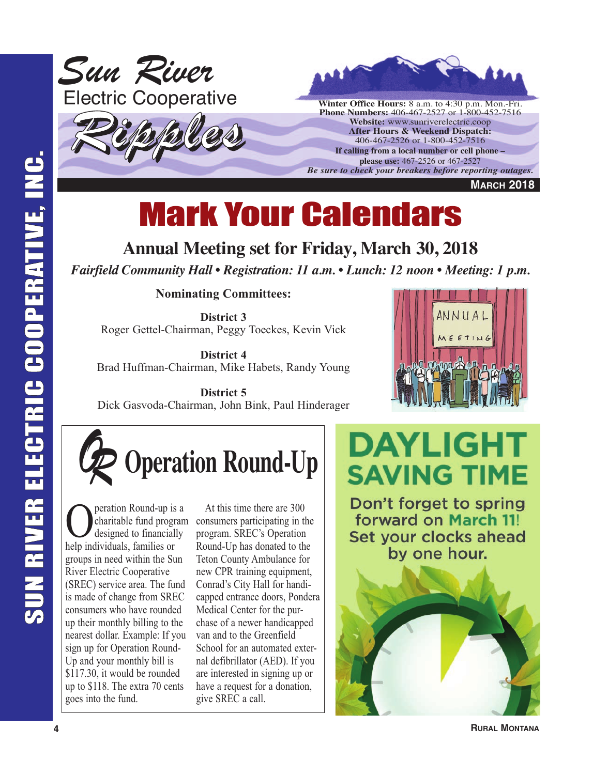



**Winter Office Hours:** 8 a.m. to 4:30 p.m. Mon.-Fri. **Phone Numbers:** 406-467-2527 or 1-800-452-7516 **Website:** www.sunriverelectric.coop **After Hours & Weekend Dispatch:** 406-467-2526 or 1-800-452-7516 **If calling from a local number or cell phone – please use:** 467-2526 or 467-2527 *Be sure to check your breakers before reporting outages.*

**MARCH 2018**

# Mark Your Calendars

### **Annual Meeting set for Friday, March 30, 2018**

*Fairfield Community Hall • Registration: 11 a.m. • Lunch: 12 noon • Meeting: 1 p.m.*

**Nominating Committees:**

**District 3** Roger Gettel-Chairman, Peggy Toeckes, Kevin Vick

**District 4** Brad Huffman-Chairman, Mike Habets, Randy Young

**District 5** Dick Gasvoda-Chairman, John Bink, Paul Hinderager



*OR* **Operation Round-Up**

**O** peration Round-up is a designed to financially charitable fund program help individuals, families or groups in need within the Sun River Electric Cooperative (SREC) service area. The fund is made of change from SREC consumers who have rounded up their monthly billing to the nearest dollar. Example: If you sign up for Operation Round-Up and your monthly bill is \$117.30, it would be rounded up to \$118. The extra 70 cents goes into the fund.

At this time there are 300 consumers participating in the program. SREC's Operation Round-Up has donated to the Teton County Ambulance for new CPR training equipment, Conrad's City Hall for handicapped entrance doors, Pondera Medical Center for the purchase of a newer handicapped van and to the Greenfield School for an automated external defibrillator (AED). If you are interested in signing up or have a request for a donation, give SREC a call.

**DAYLIGHT SAVING TIME** 

Don't forget to spring forward on March 11! Set your clocks ahead by one hour.

**RURAL MONTANA**